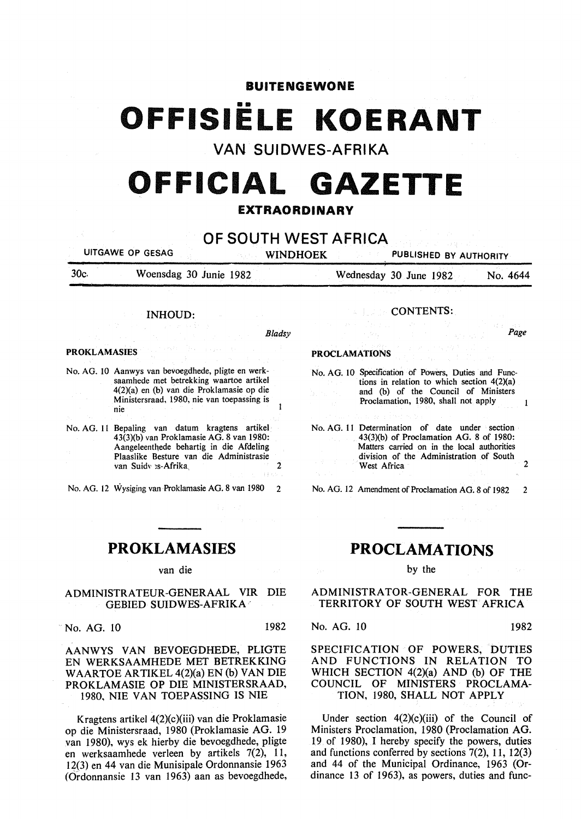#### **BUITENGEWONE**

# •• **OFFISIELE KOERANT**

**VAN SUIDWES-AFRIKA** 

## **OFFICIAL GAZETTE EXTRAORDINARY**

**OF SOUTH WEST AFRICA**  UITGAWE OP GESAG WINDHOEK PUBLISHED BY AUTHORITY

30c. Woensdag 30 Junie 1982 Wednesday 30 June 1982 No. 4644

#### INHOUD:

*Bladsy* 

 $\mathbf{r}$ 

#### PROKLAMASIES

No. AG. 10 Aanwys van bevoegdhede, pligte en werksaamhede met betrekking waartoe artikel 4(2)(a) en (b) van die Proklamasie op die Ministersraad, 1980, nie van toepassing is nie

No. AG. II Bepaling van datum kragtens artikel 43(3)(b) van Proklamasie AG. 8 van 1980: Aangeleentnede behartig in die Afdeling Plaaslike Besture van die Administrasie van Suidy es-Afrika, 2008. 2012.

No. AG. 12 Wysiging van Proklamasie AG. 8 van 1980 2

### **PROKLAMASIES**

#### van die

#### ADMINISTRATEUR-GENERAAL VIR DIE GEBIED SUIDWES-AFRIKA ·

No. AG. 10 1982

AANWYS VAN BEVOEGDHEDE, PLIGTE EN WERKSAAMHEDE MET BETREKKING W AARTOE AR TIKEL 4(2)(a) EN (b) VAN DIE PROKLAMASIE OP DIE MINISTERSRAAD, 1980, NIE VAN TOEPASSING IS NIE

Kragtens artikel  $4(2)(c)(iii)$  van die Proklamasie op die Ministersraad, 1980 (Proklamasie AG. 19 van 1980), wys ek hierby die bevoegdhede, pligte en werksaamhede verleen by artikels 7(2), 11, 12(3) en 44 van die Munisipale Ordonnansie 1963 (Ordonnansie 13 van 1963) aan as bevoegdhede,

#### CONTENTS:

Page

#### PROCLAMATIONS

No. AG. lO Specification of Powers, Duties and Functions in relation to which section  $4(2)(a)$ and (b) of the Council of Ministers Proclamation, 1980, shall not apply  $\mathbf{I}$ 

No. AG. 11 Determination of date under section 43(3)(b) of Proclamation AG. 8 of 1980: Matters carried on in the local authorities division of the Administration of South West Africa

No. AG. 12 Amendment of Proclamation AG. 8 of 1982 2

#### **PROCLAMATIONS**

#### by the

ADMINISTRATOR-GENERAL FOR THE TERRITORY OF SOUTH WEST AFRICA

No. AG. 10 1982

SPECIFICATION OF POWERS, DUTIES AND FUNCTIONS IN RELATION TO WHICH SECTION 4(2)(a) AND (b) OF THE COUNCIL OF MINISTERS PROCLAMA-TION, 1980, SHALL NOT APPLY

Under section  $4(2)(c)(iii)$  of the Council of Ministers Proclamation, 1980 (Proclamation AG. 19 of 1980), I hereby specify the powers, duties and functions conferred by sections 7(2), 11, 12(3) and 44 of the Municipal Ordinance, 1963 (Ordinance 13 of 1963), as powers, duties and func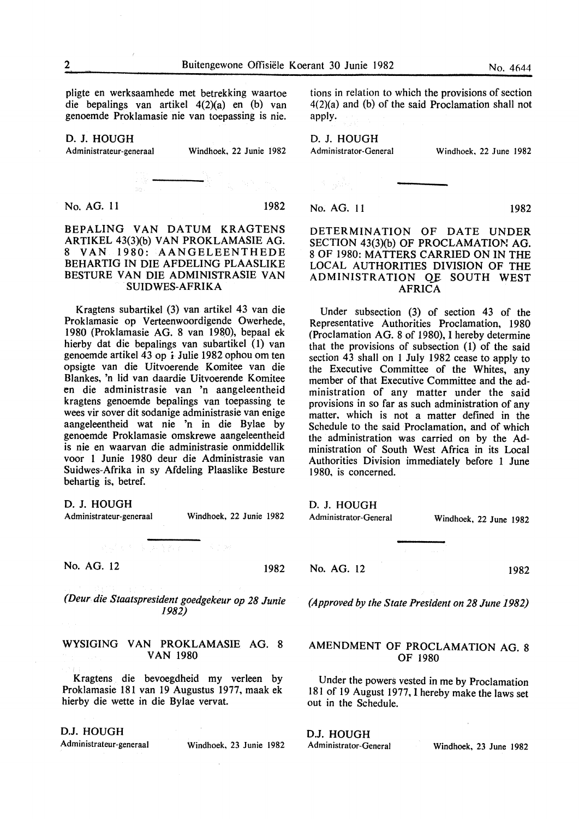pligte en werksaamhede met betrekking waartoe die bepalings van artikel 4(2}(a) en (b) van genoemde Proklamasie nie van toepassing is nie.

#### D. J. HOUGH

Administrateur-generaal Windhoek, 22 Junie 1982

No. AG. 11 1982

#### BEPALING VAN DATUM KRAGTENS ARTIKEL 43(3)(b) VAN PROKLAMASIE AG. 8 VAN 1980: AANGELEENTHEDE BEHARTIG IN DIE AFDELING PLAASLIKE BESTURE VAN DIE ADMINISTRASIE VAN SUIDWES-AFRIKA

Kragtens subartikel (3) van artikel 43 van die Proklamasie op Verteenwoordigende Owerhede, 1980 (Proklamasie AG. 8 van 1980), bepaal ek hierby dat die bepalings van subartikel (1) van genoemde artikel 43 op *i* Julie 1982 ophou om ten opsigte van die Uitvoerende Komitee van die Blankes, 'n lid van daardie Uitvoerende Komitee en die administrasie van 'n aangeleentheid kragtens genoemde bepalings van toepassing te wees vir sover dit sodanige administrasie van enige aangeleentheid wat nie 'n in die Bylae by genoemde Proklamasie omskrewe aangeleentheid is nie en waarvan die administrasie onmiddellik voor 1 Junie 1980 deur die Administrasie van Suidwes-Afrika in sy Afdeling Plaaslike Besture behartig is, betref.

D. J. HOUGH

Administrateur-generaal Windhoek, 22 Junie 1982

No. AG. 12 1982

*(Deur. die Staatspresident goedgekeur op 28 Junie 1982)* 

#### WYSIGING VAN PROKLAMASIE AG. 8 VAN 1980

Kragtens die bevoegdheid my verleen by Proklamasie 181 van 19 Augustus 1977, maak ek hierby die wette in die Bylae vervat.

#### D.J. HOUGH

Administrateur-generaal Windhoek, 23 Junie 1982

tions in relation to which the provisions of section 4(2)(a) and (b) of the said Proclamation shall not apply.

D. J. HOUGH

Administrator-General Windhoek. 22 June 1982

No. AG. 11 1982

#### DETERMINATION OF DATE UNDER SECTION 43(3)(b) OF PROCLAMATION AG. 8 OF 1980: MATTERS CARRIED ON IN THE LOCAL AUTHORITIES DIVISION OF THE ADMINISTRATION QF SOUTH WEST AFRICA

Under subsection (3) of section 43 of the Representative Authorities Proclamation, 1980 (Proclamation AG. 8 of 1980), I hereby determine that the provisions of subsection (1) of the said section 43 shall on 1 July 1982 cease to apply to the Executive Committee of the Whites, any member of that Executive Committee and the administration of any matter under the said provisions in so far as such administration of any matter, which is not a matter defined in the Schedule to the said Proclamation, and of which the administration was carried on by the Administration of South West Africa in its Local Authorities Division immediately before 1 June 1980, is concerned.

D. J. HOUGH

Administrator-General

No. AG. 12

1982

Windhoek, 22 June 1982

*(Approved by the State President on 28 June 1982)* 

#### AMENDMENT OF PROCLAMATION AG. 8 OF 1980

Under the powers vested in me by Proclamation 181 of 19 August 1977, I hereby make the laws set out in the Schedule.

D.J. HOUGH

Administrator-General Windhoek, 23 June 1982